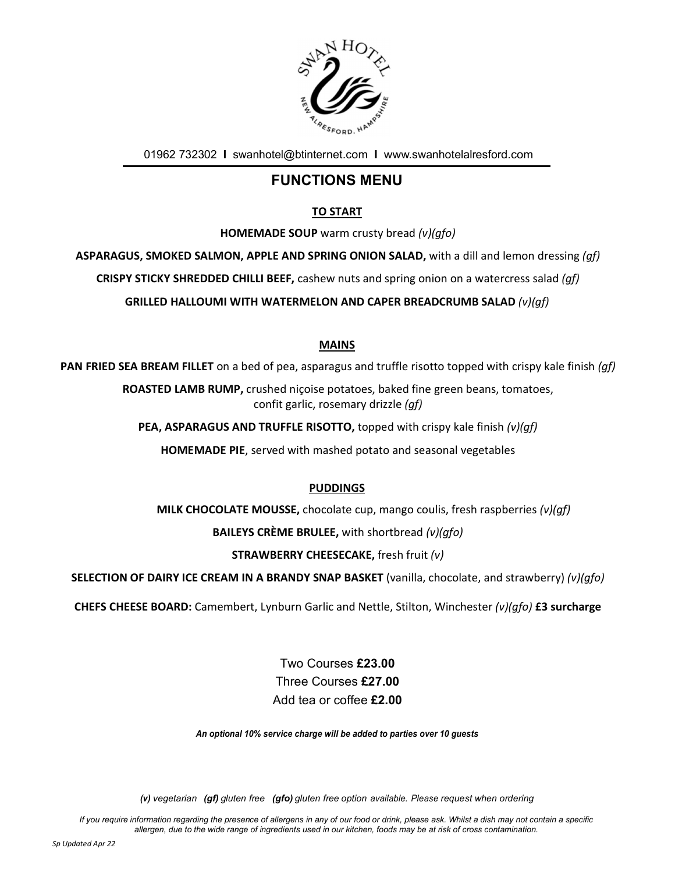

01962 732302 I swanhotel@btinternet.com I www.swanhotelalresford.com

## FUNCTIONS MENU

### TO START

HOMEMADE SOUP warm crusty bread (v)(gfo)

ASPARAGUS, SMOKED SALMON, APPLE AND SPRING ONION SALAD, with a dill and lemon dressing (gf)

CRISPY STICKY SHREDDED CHILLI BEEF, cashew nuts and spring onion on a watercress salad (gf)

GRILLED HALLOUMI WITH WATERMELON AND CAPER BREADCRUMB SALAD (v)(gf)

#### MAINS

PAN FRIED SEA BREAM FILLET on a bed of pea, asparagus and truffle risotto topped with crispy kale finish (af)

ROASTED LAMB RUMP, crushed niçoise potatoes, baked fine green beans, tomatoes, confit garlic, rosemary drizzle (gf)

**PEA, ASPARAGUS AND TRUFFLE RISOTTO, topped with crispy kale finish**  $(v)(qf)$ 

HOMEMADE PIE, served with mashed potato and seasonal vegetables

#### PUDDINGS

MILK CHOCOLATE MOUSSE, chocolate cup, mango coulis, fresh raspberries  $(v)(gf)$ 

**BAILEYS CRÈME BRULEE, with shortbread (v)(qfo)** 

#### STRAWBERRY CHEESECAKE, fresh fruit (v)

SELECTION OF DAIRY ICE CREAM IN A BRANDY SNAP BASKET (vanilla, chocolate, and strawberry) (v)(qfo)

CHEFS CHEESE BOARD: Camembert, Lynburn Garlic and Nettle, Stilton, Winchester (v)(qfo) £3 surcharge

Two Courses £23.00 Three Courses £27.00 Add tea or coffee £2.00

An optional 10% service charge will be added to parties over 10 guests

(v) vegetarian (gf) gluten free (gfo) gluten free option available. Please request when ordering

If you require information regarding the presence of allergens in any of our food or drink, please ask. Whilst a dish may not contain a specific allergen, due to the wide range of ingredients used in our kitchen, foods may be at risk of cross contamination.